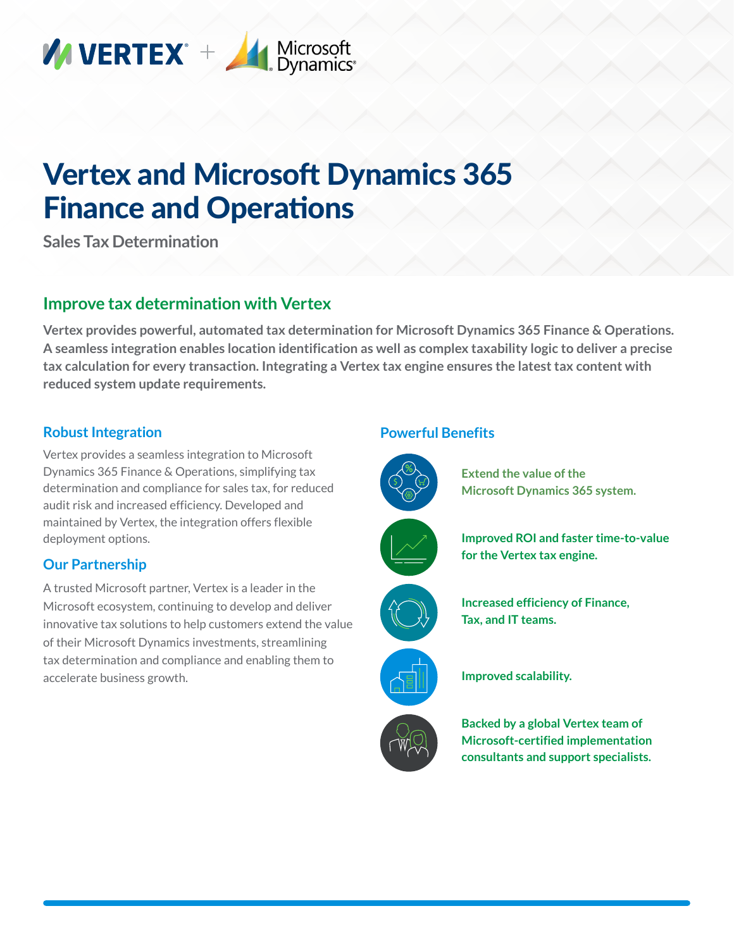

# Vertex and Microsoft Dynamics 365 Finance and Operations

**Sales Tax Determination**

## **Improve tax determination with Vertex**

**Vertex provides powerful, automated tax determination for Microsoft Dynamics 365 Finance & Operations. A seamless integration enables location identification as well as complex taxability logic to deliver a precise tax calculation for every transaction. Integrating a Vertex tax engine ensures the latest tax content with reduced system update requirements.**

### **Robust Integration**

Vertex provides a seamless integration to Microsoft Dynamics 365 Finance & Operations, simplifying tax determination and compliance for sales tax, for reduced audit risk and increased efficiency. Developed and maintained by Vertex, the integration offers flexible deployment options.

## **Our Partnership**

A trusted Microsoft partner, Vertex is a leader in the Microsoft ecosystem, continuing to develop and deliver innovative tax solutions to help customers extend the value of their Microsoft Dynamics investments, streamlining tax determination and compliance and enabling them to accelerate business growth.

#### **Powerful Benefits**



**Extend the value of the Microsoft Dynamics 365 system.**











**Improved scalability.**

**Backed by a global Vertex team of Microsoft-certified implementation consultants and support specialists.**